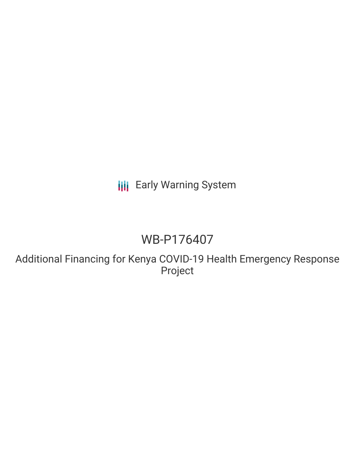# **III** Early Warning System

# WB-P176407

Additional Financing for Kenya COVID-19 Health Emergency Response Project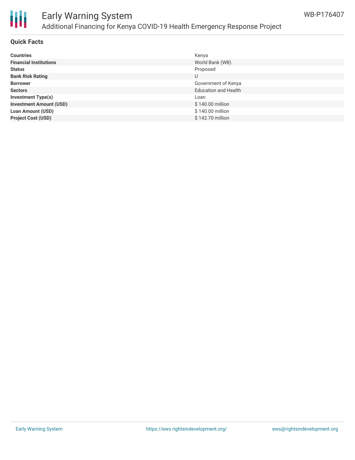

## Early Warning System Additional Financing for Kenya COVID-19 Health Emergency Response Project

### **Quick Facts**

| <b>Countries</b>               | Kenya                       |
|--------------------------------|-----------------------------|
| <b>Financial Institutions</b>  | World Bank (WB)             |
| <b>Status</b>                  | Proposed                    |
| <b>Bank Risk Rating</b>        | U                           |
| <b>Borrower</b>                | Government of Kenya         |
| <b>Sectors</b>                 | <b>Education and Health</b> |
| <b>Investment Type(s)</b>      | Loan                        |
| <b>Investment Amount (USD)</b> | \$140.00 million            |
| <b>Loan Amount (USD)</b>       | \$140.00 million            |
| <b>Project Cost (USD)</b>      | \$142.70 million            |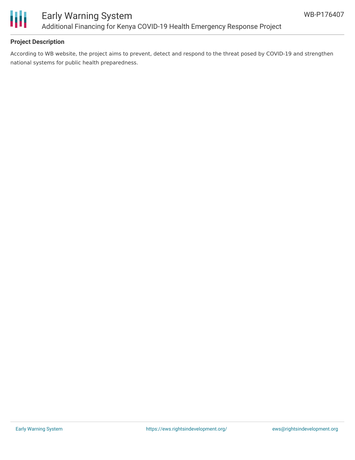

### **Project Description**

According to WB website, the project aims to prevent, detect and respond to the threat posed by COVID-19 and strengthen national systems for public health preparedness.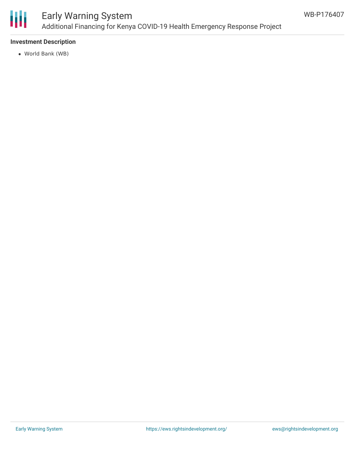

## Early Warning System Additional Financing for Kenya COVID-19 Health Emergency Response Project

### **Investment Description**

World Bank (WB)